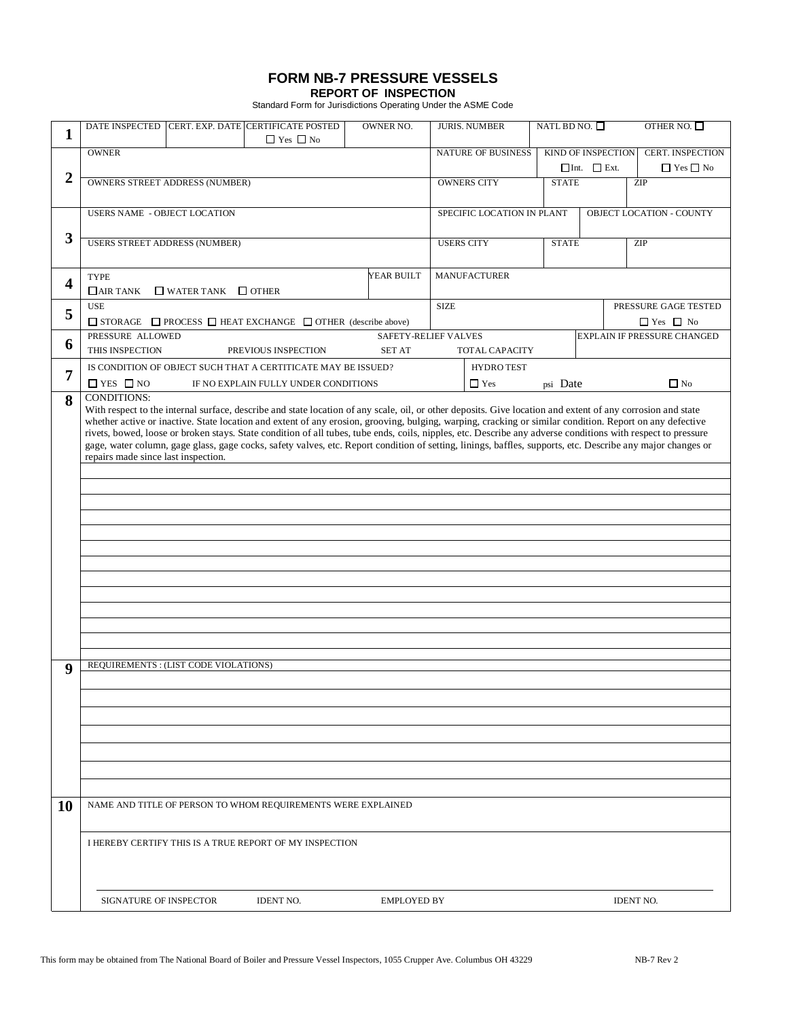## **FORM NB-7 PRESSURE VESSELS**

**REPORT OF INSPECTION** Standard Form for Jurisdictions Operating Under the ASME Code

| 1                       | <b>DATE INSPECTED</b>                                                                                                                                                                                                                                                                                                                                                                                                                                                                                                                                                                                                                                                                         |                                                                                    | CERT. EXP. DATE CERTIFICATE POSTED<br>$\Box$ Yes $\Box$ No                                                              | <b>OWNER NO.</b>   |                                               | <b>JURIS. NUMBER</b> | NATL BD NO. $\square$                           |  | OTHER NO. $\square$ |
|-------------------------|-----------------------------------------------------------------------------------------------------------------------------------------------------------------------------------------------------------------------------------------------------------------------------------------------------------------------------------------------------------------------------------------------------------------------------------------------------------------------------------------------------------------------------------------------------------------------------------------------------------------------------------------------------------------------------------------------|------------------------------------------------------------------------------------|-------------------------------------------------------------------------------------------------------------------------|--------------------|-----------------------------------------------|----------------------|-------------------------------------------------|--|---------------------|
|                         | <b>OWNER</b>                                                                                                                                                                                                                                                                                                                                                                                                                                                                                                                                                                                                                                                                                  |                                                                                    | <b>NATURE OF BUSINESS</b>                                                                                               |                    | KIND OF INSPECTION<br>$\Box$ Int. $\Box$ Ext. |                      | <b>CERT. INSPECTION</b><br>$\Box$ Yes $\Box$ No |  |                     |
| $\overline{2}$          | <b>OWNERS STREET ADDRESS (NUMBER)</b>                                                                                                                                                                                                                                                                                                                                                                                                                                                                                                                                                                                                                                                         |                                                                                    | <b>OWNERS CITY</b>                                                                                                      |                    | <b>STATE</b>                                  |                      | ZIP                                             |  |                     |
|                         | <b>USERS NAME - OBJECT LOCATION</b>                                                                                                                                                                                                                                                                                                                                                                                                                                                                                                                                                                                                                                                           |                                                                                    | SPECIFIC LOCATION IN PLANT                                                                                              |                    | <b>OBJECT LOCATION - COUNTY</b>               |                      |                                                 |  |                     |
| 3                       |                                                                                                                                                                                                                                                                                                                                                                                                                                                                                                                                                                                                                                                                                               | <b>USERS STREET ADDRESS (NUMBER)</b>                                               |                                                                                                                         |                    |                                               |                      | <b>STATE</b>                                    |  | ZIP                 |
|                         |                                                                                                                                                                                                                                                                                                                                                                                                                                                                                                                                                                                                                                                                                               |                                                                                    | <b>USERS CITY</b>                                                                                                       |                    |                                               |                      |                                                 |  |                     |
| $\overline{\mathbf{4}}$ | <b>TYPE</b><br>$\Box$ WATER TANK $\Box$ OTHER<br>$\Box$ AIR TANK                                                                                                                                                                                                                                                                                                                                                                                                                                                                                                                                                                                                                              | <b>MANUFACTURER</b>                                                                |                                                                                                                         |                    |                                               |                      |                                                 |  |                     |
| 5                       | <b>USE</b>                                                                                                                                                                                                                                                                                                                                                                                                                                                                                                                                                                                                                                                                                    | <b>SIZE</b>                                                                        |                                                                                                                         |                    |                                               | PRESSURE GAGE TESTED |                                                 |  |                     |
| 6                       | $\Box$ STORAGE $\Box$ PROCESS $\Box$ HEAT EXCHANGE $\Box$ OTHER (describe above)<br>PRESSURE ALLOWED                                                                                                                                                                                                                                                                                                                                                                                                                                                                                                                                                                                          | $\Box$ Yes $\Box$ No<br>SAFETY-RELIEF VALVES<br><b>EXPLAIN IF PRESSURE CHANGED</b> |                                                                                                                         |                    |                                               |                      |                                                 |  |                     |
|                         | THIS INSPECTION<br>IS CONDITION OF OBJECT SUCH THAT A CERTITICATE MAY BE ISSUED?                                                                                                                                                                                                                                                                                                                                                                                                                                                                                                                                                                                                              | PREVIOUS INSPECTION                                                                | TOTAL CAPACITY<br><b>HYDRO TEST</b>                                                                                     |                    |                                               |                      |                                                 |  |                     |
| 7                       | $\Box$ YES $\Box$ NO                                                                                                                                                                                                                                                                                                                                                                                                                                                                                                                                                                                                                                                                          | IF NO EXPLAIN FULLY UNDER CONDITIONS                                               | $\Box$ Yes<br>psi Date                                                                                                  |                    |                                               |                      | $\Box$ No                                       |  |                     |
| 8                       | With respect to the internal surface, describe and state location of any scale, oil, or other deposits. Give location and extent of any corrosion and state<br>whether active or inactive. State location and extent of any erosion, grooving, bulging, warping, cracking or similar condition. Report on any defective<br>rivets, bowed, loose or broken stays. State condition of all tubes, tube ends, coils, nipples, etc. Describe any adverse conditions with respect to pressure<br>gage, water column, gage glass, gage cocks, safety valves, etc. Report condition of setting, linings, baffles, supports, etc. Describe any major changes or<br>repairs made since last inspection. |                                                                                    |                                                                                                                         |                    |                                               |                      |                                                 |  |                     |
| 9<br><b>10</b>          | REQUIREMENTS : (LIST CODE VIOLATIONS)                                                                                                                                                                                                                                                                                                                                                                                                                                                                                                                                                                                                                                                         |                                                                                    | NAME AND TITLE OF PERSON TO WHOM REQUIREMENTS WERE EXPLAINED<br>I HEREBY CERTIFY THIS IS A TRUE REPORT OF MY INSPECTION |                    |                                               |                      |                                                 |  |                     |
|                         | SIGNATURE OF INSPECTOR                                                                                                                                                                                                                                                                                                                                                                                                                                                                                                                                                                                                                                                                        |                                                                                    | <b>IDENT NO.</b>                                                                                                        | <b>EMPLOYED BY</b> |                                               |                      |                                                 |  | <b>IDENT NO.</b>    |